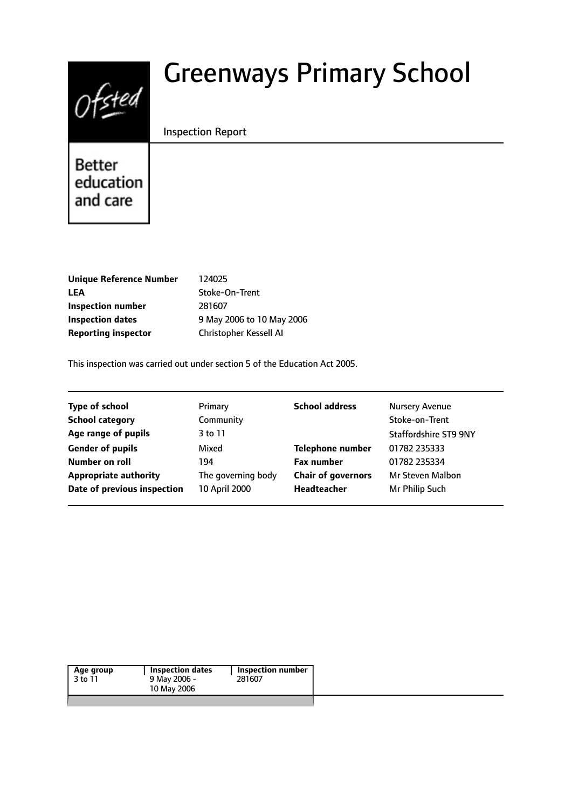

# Greenways Primary School

#### Inspection Report

**Better** education and care

| <b>Unique Reference Number</b> |
|--------------------------------|
| LEA                            |
| Inspection number              |
| Inspection dates               |
| <b>Reporting inspector</b>     |

**Unique Reference Number** 124025 Stoke-On-Trent **Inspection number** 281607 **Inspection dates** 9 May 2006 to 10 May 2006 **Christopher Kessell AI** 

This inspection was carried out under section 5 of the Education Act 2005.

| <b>Type of school</b>        | Primary            | <b>School address</b>     | <b>Nursery Avenue</b>        |
|------------------------------|--------------------|---------------------------|------------------------------|
| <b>School category</b>       | Community          |                           | Stoke-on-Trent               |
| Age range of pupils          | 3 to 11            |                           | <b>Staffordshire ST9 9NY</b> |
| <b>Gender of pupils</b>      | Mixed              | <b>Telephone number</b>   | 01782 235333                 |
| Number on roll               | 194                | <b>Fax number</b>         | 01782 235334                 |
| <b>Appropriate authority</b> | The governing body | <b>Chair of governors</b> | Mr Steven Malbon             |
| Date of previous inspection  | 10 April 2000      | <b>Headteacher</b>        | Mr Philip Such               |
|                              |                    |                           |                              |

| Age group | Inspection dates | Inspection number |
|-----------|------------------|-------------------|
| 3 to 11   | 9 May 2006 -     | 281607            |
|           | 10 May 2006      |                   |
|           |                  |                   |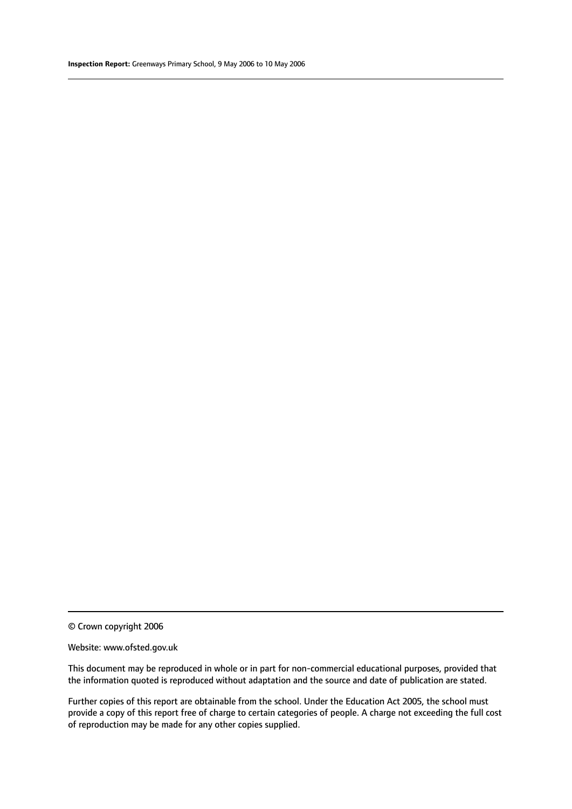© Crown copyright 2006

#### Website: www.ofsted.gov.uk

This document may be reproduced in whole or in part for non-commercial educational purposes, provided that the information quoted is reproduced without adaptation and the source and date of publication are stated.

Further copies of this report are obtainable from the school. Under the Education Act 2005, the school must provide a copy of this report free of charge to certain categories of people. A charge not exceeding the full cost of reproduction may be made for any other copies supplied.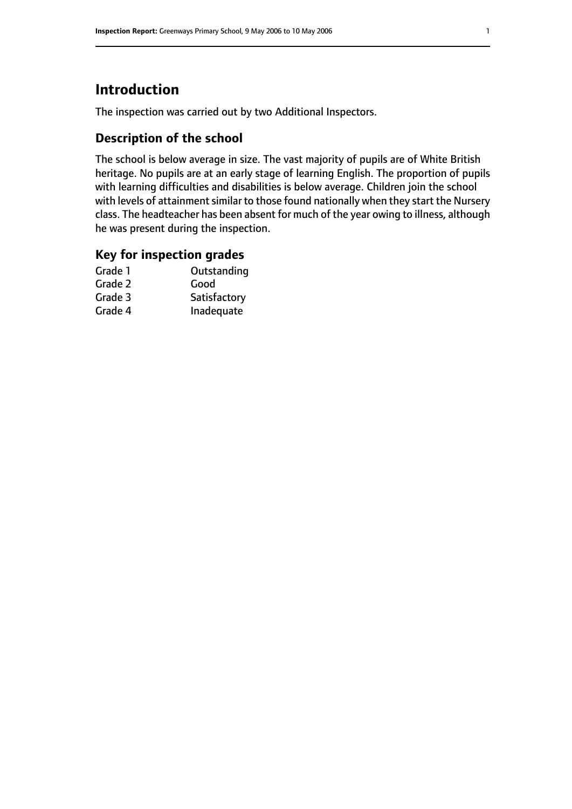# **Introduction**

The inspection was carried out by two Additional Inspectors.

# **Description of the school**

The school is below average in size. The vast majority of pupils are of White British heritage. No pupils are at an early stage of learning English. The proportion of pupils with learning difficulties and disabilities is below average. Children join the school with levels of attainment similar to those found nationally when they start the Nursery class. The headteacher has been absent for much of the year owing to illness, although he was present during the inspection.

## **Key for inspection grades**

| Grade 1 | Outstanding  |
|---------|--------------|
| Grade 2 | Good         |
| Grade 3 | Satisfactory |
| Grade 4 | Inadequate   |
|         |              |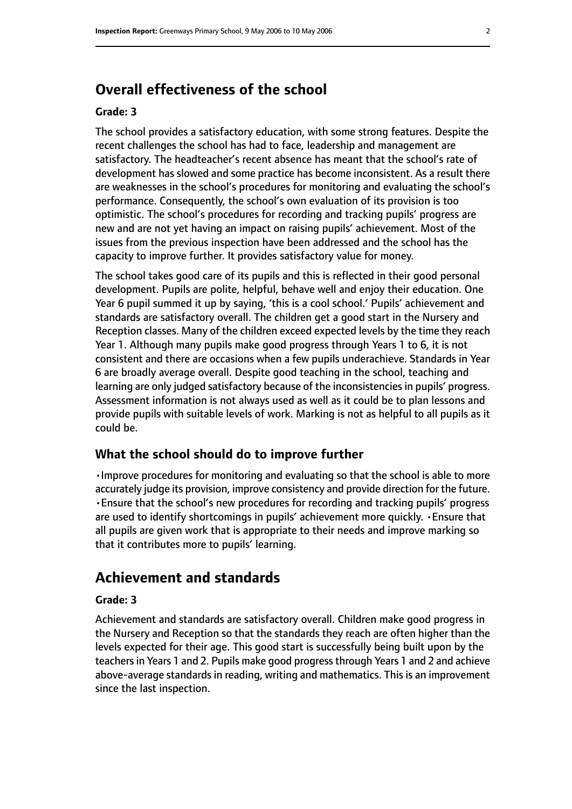# **Overall effectiveness of the school**

#### **Grade: 3**

The school provides a satisfactory education, with some strong features. Despite the recent challenges the school has had to face, leadership and management are satisfactory. The headteacher's recent absence has meant that the school's rate of development has slowed and some practice has become inconsistent. As a result there are weaknesses in the school's procedures for monitoring and evaluating the school's performance. Consequently, the school's own evaluation of its provision is too optimistic. The school's procedures for recording and tracking pupils' progress are new and are not yet having an impact on raising pupils' achievement. Most of the issues from the previous inspection have been addressed and the school has the capacity to improve further. It provides satisfactory value for money.

The school takes good care of its pupils and this is reflected in their good personal development. Pupils are polite, helpful, behave well and enjoy their education. One Year 6 pupil summed it up by saying, 'this is a cool school.' Pupils' achievement and standards are satisfactory overall. The children get a good start in the Nursery and Reception classes. Many of the children exceed expected levels by the time they reach Year 1. Although many pupils make good progress through Years 1 to 6, it is not consistent and there are occasions when a few pupils underachieve. Standards in Year 6 are broadly average overall. Despite good teaching in the school, teaching and learning are only judged satisfactory because of the inconsistencies in pupils' progress. Assessment information is not always used as well as it could be to plan lessons and provide pupils with suitable levels of work. Marking is not as helpful to all pupils as it could be.

#### **What the school should do to improve further**

•Improve procedures for monitoring and evaluating so that the school is able to more accurately judge its provision, improve consistency and provide direction for the future. •Ensure that the school's new procedures for recording and tracking pupils' progress are used to identify shortcomings in pupils' achievement more quickly. •Ensure that all pupils are given work that is appropriate to their needs and improve marking so that it contributes more to pupils' learning.

# **Achievement and standards**

#### **Grade: 3**

Achievement and standards are satisfactory overall. Children make good progress in the Nursery and Reception so that the standards they reach are often higher than the levels expected for their age. This good start is successfully being built upon by the teachersin Years 1 and 2. Pupils make good progressthrough Years 1 and 2 and achieve above-average standards in reading, writing and mathematics. This is an improvement since the last inspection.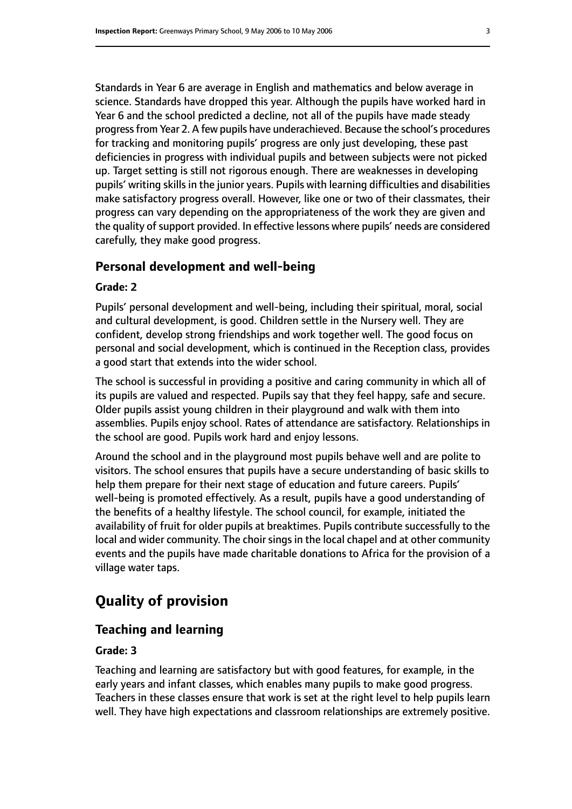Standards in Year 6 are average in English and mathematics and below average in science. Standards have dropped this year. Although the pupils have worked hard in Year 6 and the school predicted a decline, not all of the pupils have made steady progressfrom Year 2. A few pupils have underachieved. Because the school's procedures for tracking and monitoring pupils' progress are only just developing, these past deficiencies in progress with individual pupils and between subjects were not picked up. Target setting is still not rigorous enough. There are weaknesses in developing pupils' writing skills in the junior years. Pupils with learning difficulties and disabilities make satisfactory progress overall. However, like one or two of their classmates, their progress can vary depending on the appropriateness of the work they are given and the quality of support provided. In effective lessons where pupils' needs are considered carefully, they make good progress.

#### **Personal development and well-being**

#### **Grade: 2**

Pupils' personal development and well-being, including their spiritual, moral, social and cultural development, is good. Children settle in the Nursery well. They are confident, develop strong friendships and work together well. The good focus on personal and social development, which is continued in the Reception class, provides a good start that extends into the wider school.

The school is successful in providing a positive and caring community in which all of its pupils are valued and respected. Pupils say that they feel happy, safe and secure. Older pupils assist young children in their playground and walk with them into assemblies. Pupils enjoy school. Rates of attendance are satisfactory. Relationships in the school are good. Pupils work hard and enjoy lessons.

Around the school and in the playground most pupils behave well and are polite to visitors. The school ensures that pupils have a secure understanding of basic skills to help them prepare for their next stage of education and future careers. Pupils' well-being is promoted effectively. As a result, pupils have a good understanding of the benefits of a healthy lifestyle. The school council, for example, initiated the availability of fruit for older pupils at breaktimes. Pupils contribute successfully to the local and wider community. The choir sings in the local chapel and at other community events and the pupils have made charitable donations to Africa for the provision of a village water taps.

# **Quality of provision**

#### **Teaching and learning**

#### **Grade: 3**

Teaching and learning are satisfactory but with good features, for example, in the early years and infant classes, which enables many pupils to make good progress. Teachers in these classes ensure that work is set at the right level to help pupils learn well. They have high expectations and classroom relationships are extremely positive.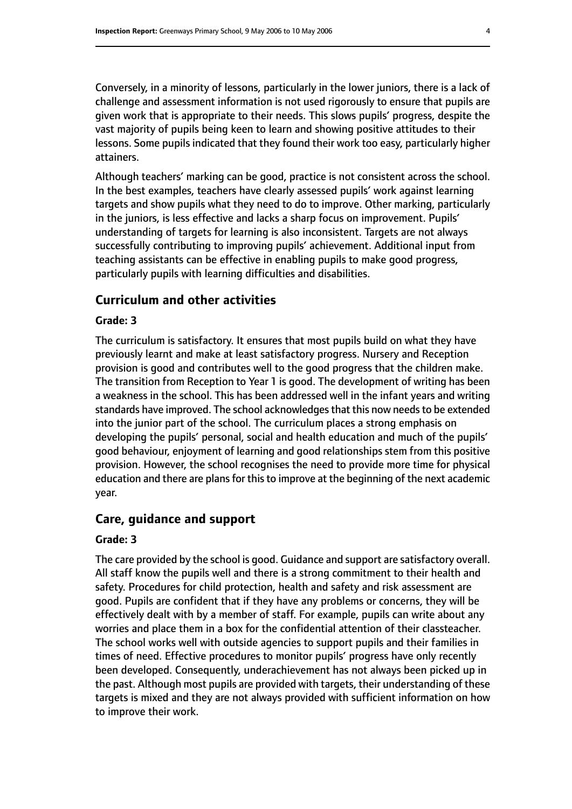Conversely, in a minority of lessons, particularly in the lower juniors, there is a lack of challenge and assessment information is not used rigorously to ensure that pupils are given work that is appropriate to their needs. This slows pupils' progress, despite the vast majority of pupils being keen to learn and showing positive attitudes to their lessons. Some pupils indicated that they found their work too easy, particularly higher attainers.

Although teachers' marking can be good, practice is not consistent across the school. In the best examples, teachers have clearly assessed pupils' work against learning targets and show pupils what they need to do to improve. Other marking, particularly in the juniors, is less effective and lacks a sharp focus on improvement. Pupils' understanding of targets for learning is also inconsistent. Targets are not always successfully contributing to improving pupils' achievement. Additional input from teaching assistants can be effective in enabling pupils to make good progress, particularly pupils with learning difficulties and disabilities.

#### **Curriculum and other activities**

#### **Grade: 3**

The curriculum is satisfactory. It ensures that most pupils build on what they have previously learnt and make at least satisfactory progress. Nursery and Reception provision is good and contributes well to the good progress that the children make. The transition from Reception to Year 1 is good. The development of writing has been a weakness in the school. This has been addressed well in the infant years and writing standards have improved. The school acknowledges that this now needs to be extended into the junior part of the school. The curriculum places a strong emphasis on developing the pupils' personal, social and health education and much of the pupils' good behaviour, enjoyment of learning and good relationships stem from this positive provision. However, the school recognises the need to provide more time for physical education and there are plans for this to improve at the beginning of the next academic year.

## **Care, guidance and support**

#### **Grade: 3**

The care provided by the school is good. Guidance and support are satisfactory overall. All staff know the pupils well and there is a strong commitment to their health and safety. Procedures for child protection, health and safety and risk assessment are good. Pupils are confident that if they have any problems or concerns, they will be effectively dealt with by a member of staff. For example, pupils can write about any worries and place them in a box for the confidential attention of their classteacher. The school works well with outside agencies to support pupils and their families in times of need. Effective procedures to monitor pupils' progress have only recently been developed. Consequently, underachievement has not always been picked up in the past. Although most pupils are provided with targets, their understanding of these targets is mixed and they are not always provided with sufficient information on how to improve their work.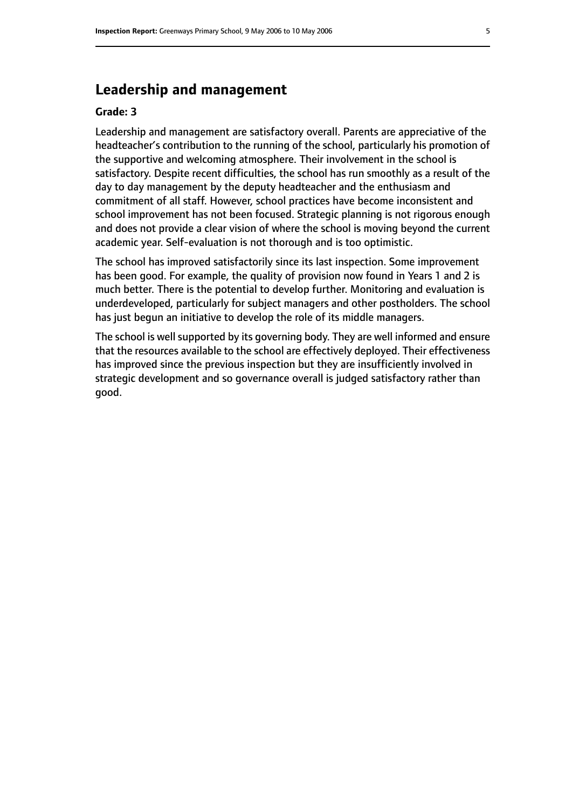# **Leadership and management**

#### **Grade: 3**

Leadership and management are satisfactory overall. Parents are appreciative of the headteacher's contribution to the running of the school, particularly his promotion of the supportive and welcoming atmosphere. Their involvement in the school is satisfactory. Despite recent difficulties, the school has run smoothly as a result of the day to day management by the deputy headteacher and the enthusiasm and commitment of all staff. However, school practices have become inconsistent and school improvement has not been focused. Strategic planning is not rigorous enough and does not provide a clear vision of where the school is moving beyond the current academic year. Self-evaluation is not thorough and is too optimistic.

The school has improved satisfactorily since its last inspection. Some improvement has been good. For example, the quality of provision now found in Years 1 and 2 is much better. There is the potential to develop further. Monitoring and evaluation is underdeveloped, particularly for subject managers and other postholders. The school has just begun an initiative to develop the role of its middle managers.

The school is well supported by its governing body. They are well informed and ensure that the resources available to the school are effectively deployed. Their effectiveness has improved since the previous inspection but they are insufficiently involved in strategic development and so governance overall is judged satisfactory rather than good.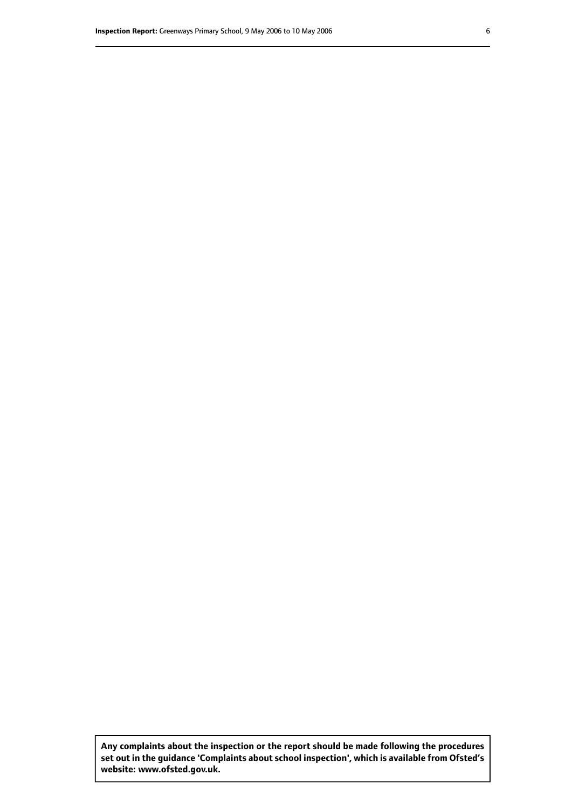**Any complaints about the inspection or the report should be made following the procedures set out inthe guidance 'Complaints about school inspection', whichis available from Ofsted's website: www.ofsted.gov.uk.**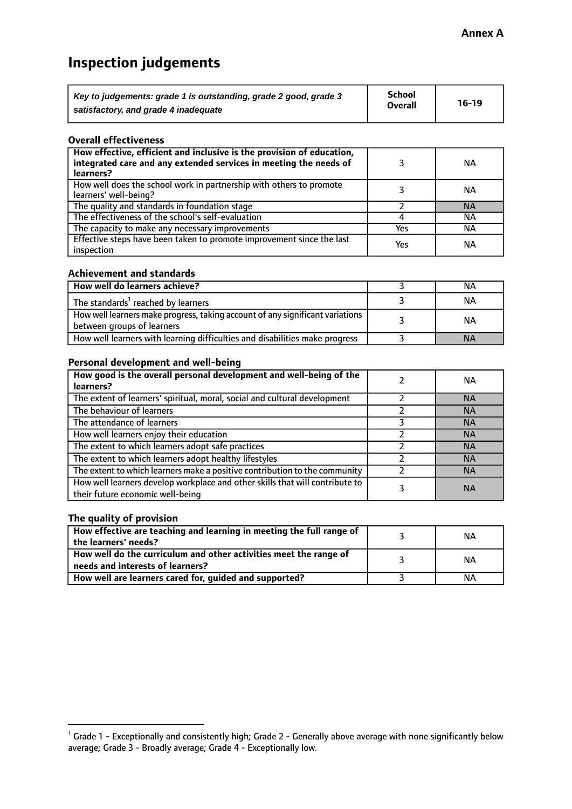# **Inspection judgements**

| Key to judgements: grade 1 is outstanding, grade 2 good, grade 3 | School         | $16-19$ |
|------------------------------------------------------------------|----------------|---------|
| satisfactory, and grade 4 inadequate                             | <b>Overall</b> |         |

#### **Overall effectiveness**

| How effective, efficient and inclusive is the provision of education,<br>integrated care and any extended services in meeting the needs of<br>learners? |     | <b>NA</b> |
|---------------------------------------------------------------------------------------------------------------------------------------------------------|-----|-----------|
| How well does the school work in partnership with others to promote<br>learners' well-being?                                                            |     | ΝA        |
| The quality and standards in foundation stage                                                                                                           |     | <b>NA</b> |
| The effectiveness of the school's self-evaluation                                                                                                       |     | ΝA        |
| The capacity to make any necessary improvements                                                                                                         | Yes | NА        |
| Effective steps have been taken to promote improvement since the last<br>inspection                                                                     | Yes | <b>NA</b> |

#### **Achievement and standards**

| How well do learners achieve?                                                                               | ΝA        |
|-------------------------------------------------------------------------------------------------------------|-----------|
| The standards <sup>1</sup> reached by learners                                                              | NА        |
| How well learners make progress, taking account of any significant variations<br>between groups of learners | <b>NA</b> |
| How well learners with learning difficulties and disabilities make progress                                 | <b>NA</b> |

#### **Personal development and well-being**

| How good is the overall personal development and well-being of the<br>learners?                                  | ΝA        |
|------------------------------------------------------------------------------------------------------------------|-----------|
| The extent of learners' spiritual, moral, social and cultural development                                        | <b>NA</b> |
| The behaviour of learners                                                                                        | <b>NA</b> |
| The attendance of learners                                                                                       | <b>NA</b> |
| How well learners enjoy their education                                                                          | <b>NA</b> |
| The extent to which learners adopt safe practices                                                                | <b>NA</b> |
| The extent to which learners adopt healthy lifestyles                                                            | <b>NA</b> |
| The extent to which learners make a positive contribution to the community                                       | <b>NA</b> |
| How well learners develop workplace and other skills that will contribute to<br>their future economic well-being | <b>NA</b> |

### **The quality of provision**

| How effective are teaching and learning in meeting the full range of<br>the learners' needs?          | ΝA |
|-------------------------------------------------------------------------------------------------------|----|
| How well do the curriculum and other activities meet the range of<br>needs and interests of learners? | ΝA |
| How well are learners cared for, guided and supported?                                                | NА |

 $^1$  Grade 1 - Exceptionally and consistently high; Grade 2 - Generally above average with none significantly below average; Grade 3 - Broadly average; Grade 4 - Exceptionally low.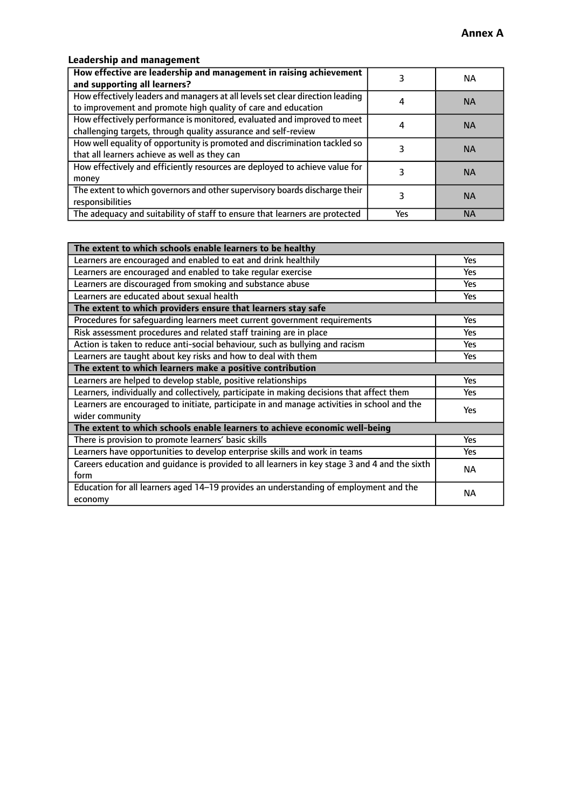## **Leadership and management**

| How effective are leadership and management in raising achievement<br>and supporting all learners?                                              |     | NA.       |
|-------------------------------------------------------------------------------------------------------------------------------------------------|-----|-----------|
| How effectively leaders and managers at all levels set clear direction leading<br>to improvement and promote high quality of care and education |     | <b>NA</b> |
| How effectively performance is monitored, evaluated and improved to meet<br>challenging targets, through quality assurance and self-review      |     | <b>NA</b> |
| How well equality of opportunity is promoted and discrimination tackled so<br>that all learners achieve as well as they can                     |     | <b>NA</b> |
| How effectively and efficiently resources are deployed to achieve value for<br>money                                                            |     | <b>NA</b> |
| The extent to which governors and other supervisory boards discharge their<br>responsibilities                                                  |     | <b>NA</b> |
| The adequacy and suitability of staff to ensure that learners are protected                                                                     | Yes | <b>NA</b> |

| The extent to which schools enable learners to be healthy                                     |            |  |
|-----------------------------------------------------------------------------------------------|------------|--|
| Learners are encouraged and enabled to eat and drink healthily                                | Yes        |  |
| Learners are encouraged and enabled to take regular exercise                                  | Yes        |  |
| Learners are discouraged from smoking and substance abuse                                     | <b>Yes</b> |  |
| Learners are educated about sexual health                                                     | <b>Yes</b> |  |
| The extent to which providers ensure that learners stay safe                                  |            |  |
| Procedures for safequarding learners meet current government requirements                     | Yes        |  |
| Risk assessment procedures and related staff training are in place                            | Yes        |  |
| Action is taken to reduce anti-social behaviour, such as bullying and racism                  | <b>Yes</b> |  |
| Learners are taught about key risks and how to deal with them                                 | Yes        |  |
| The extent to which learners make a positive contribution                                     |            |  |
| Learners are helped to develop stable, positive relationships                                 | Yes        |  |
| Learners, individually and collectively, participate in making decisions that affect them     | Yes        |  |
| Learners are encouraged to initiate, participate in and manage activities in school and the   |            |  |
| wider community                                                                               |            |  |
| The extent to which schools enable learners to achieve economic well-being                    |            |  |
| There is provision to promote learners' basic skills                                          | Yes        |  |
| Learners have opportunities to develop enterprise skills and work in teams                    | Yes        |  |
| Careers education and quidance is provided to all learners in key stage 3 and 4 and the sixth | <b>NA</b>  |  |
| form                                                                                          |            |  |
| Education for all learners aged 14-19 provides an understanding of employment and the         | <b>NA</b>  |  |
| economy                                                                                       |            |  |